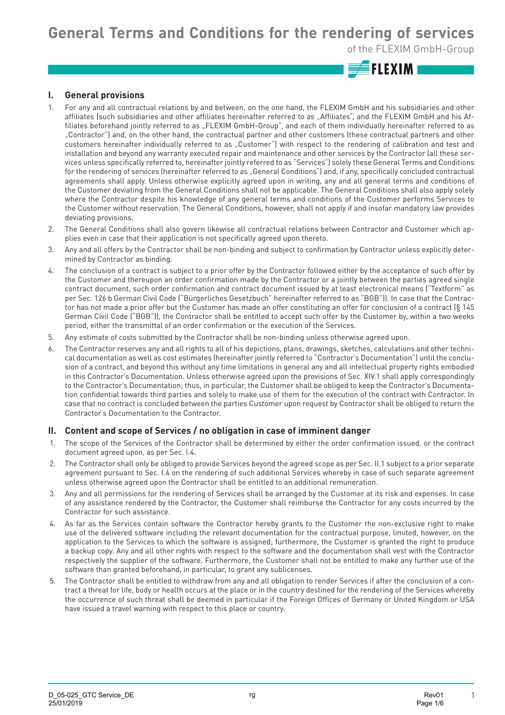**General Terms and Conditions for the rendering of services** 

of the FLEXIM GmbH-Group

 $\equiv$ FLEXIMI

#### **I. General provisions**

- 1. For any and all contractual relations by and between, on the one hand, the FLEXIM GmbH and his subsidiaries and other affiliates (such subsidiaries and other affiliates hereinafter referred to as "Affiliates", and the FLEXIM GmbH and his Affiliates beforehand jointly referred to as "FLEXIM GmbH-Group", and each of them individually hereinafter referred to as "Contractor") and, on the other hand, the contractual partner and other customers (these contractual partners and other customers hereinafter individually referred to as "Customer") with respect to the rendering of calibration and test and installation and beyond any warranty executed repair and maintenance and other services by the Contractor (all these services unless specifically referred to, hereinafter jointly referred to as "Services") solely these General Terms and Conditions for the rendering of services (hereinafter referred to as "General Conditions") and, if any, specifically concluded contractual agreements shall apply. Unless otherwise explicitly agreed upon in writing, any and all general terms and conditions of the Customer deviating from the General Conditions shall not be applicable. The General Conditions shall also apply solely where the Contractor despite his knowledge of any general terms and conditions of the Customer performs Services to the Customer without reservation. The General Conditions, however, shall not apply if and insofar mandatory law provides deviating provisions.
- 2. The General Conditions shall also govern likewise all contractual relations between Contractor and Customer which applies even in case that their application is not specifically agreed upon thereto.
- 3. Any and all offers by the Contractor shall be non-binding and subject to confirmation by Contractor unless explicitly determined by Contractor as binding.
- 4. The conclusion of a contract is subject to a prior offer by the Contractor followed either by the acceptance of such offer by the Customer and thereupon an order confirmation made by the Contractor or a jointly between the parties agreed single contract document, such order confirmation and contract document issued by at least electronical means ("Textform" as per Sec. 126 b German Civil Code ("Bürgerliches Gesetzbuch" hereinafter referred to as "BGB")). In case that the Contractor has not made a prior offer but the Customer has made an offer constituting an offer for conclusion of a contract (§ 145 German Civil Code ("BGB")), the Contractor shall be entitled to accept such offer by the Customer by, within a two weeks period, either the transmittal of an order confirmation or the execution of the Services.
- 5. Any estimate of costs submitted by the Contractor shall be non-binding unless otherwise agreed upon.
- 6. The Contractor reserves any and all rights to all of his depictions, plans, drawings, sketches, calculations and other technical documentation as well as cost estimates (hereinafter jointly referred to "Contractor's Documentation") until the conclusion of a contract, and beyond this without any time limitations in general any and all intellectual property rights embodied in this Contractor's Documentation. Unless otherwise agreed upon the provisions of Sec. XIV.1 shall apply correspondingly to the Contractor's Documentation; thus, in particular, the Customer shall be obliged to keep the Contractor's Documentation confidential towards third parties and solely to make use of them for the execution of the contract with Contractor. In case that no contract is concluded between the parties Customer upon request by Contractor shall be obliged to return the Contractor's Documentation to the Contractor.

#### **II. Content and scope of Services / no obligation in case of imminent danger**

- 1. The scope of the Services of the Contractor shall be determined by either the order confirmation issued, or the contract document agreed upon, as per Sec. I.4.
- 2. The Contractor shall only be obliged to provide Services beyond the agreed scope as per Sec. II.1 subject to a prior separate agreement pursuant to Sec. I.4 on the rendering of such additional Services whereby in case of such separate agreement unless otherwise agreed upon the Contractor shall be entitled to an additional remuneration.
- 3. Any and all permissions for the rendering of Services shall be arranged by the Customer at its risk and expenses. In case of any assistance rendered by the Contractor, the Customer shall reimburse the Contractor for any costs incurred by the Contractor for such assistance.
- 4. As far as the Services contain software the Contractor hereby grants to the Customer the non-exclusive right to make use of the delivered software including the relevant documentation for the contractual purpose, limited, however, on the application to the Services to which the software is assigned; furthermore, the Customer is granted the right to produce a backup copy. Any and all other rights with respect to the software and the documentation shall vest with the Contractor respectively the supplier of the software. Furthermore, the Customer shall not be entitled to make any further use of the software than granted beforehand, in particular, to grant any sublicenses.
- 5. The Contractor shall be entitled to withdraw from any and all obligation to render Services if after the conclusion of a contract a threat for life, body or health occurs at the place or in the country destined for the rendering of the Services whereby the occurrence of such threat shall be deemed in particular if the Foreign Offices of Germany or United Kingdom or USA have issued a travel warning with respect to this place or country.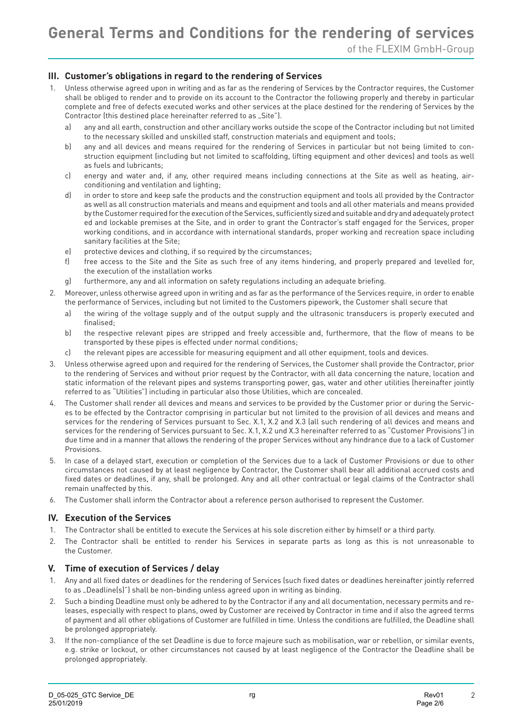# **III. Customer's obligations in regard to the rendering of Services**

- 1. Unless otherwise agreed upon in writing and as far as the rendering of Services by the Contractor requires, the Customer shall be obliged to render and to provide on its account to the Contractor the following properly and thereby in particular complete and free of defects executed works and other services at the place destined for the rendering of Services by the Contractor (this destined place hereinafter referred to as "Site").
	- a) any and all earth, construction and other ancillary works outside the scope of the Contractor including but not limited to the necessary skilled and unskilled staff, construction materials and equipment and tools;
	- b) any and all devices and means required for the rendering of Services in particular but not being limited to construction equipment (including but not limited to scaffolding, lifting equipment and other devices) and tools as well as fuels and lubricants;
	- c) energy and water and, if any, other required means including connections at the Site as well as heating, airconditioning and ventilation and lighting;
	- d) in order to store and keep safe the products and the construction equipment and tools all provided by the Contractor as well as all construction materials and means and equipment and tools and all other materials and means provided by the Customer required for the execution of the Services, sufficiently sized and suitable and dry and adequately protect ed and lockable premises at the Site, and in order to grant the Contractor's staff engaged for the Services, proper working conditions, and in accordance with international standards, proper working and recreation space including sanitary facilities at the Site;
	- e) protective devices and clothing, if so required by the circumstances;
	- f) free access to the Site and the Site as such free of any items hindering, and properly prepared and levelled for, the execution of the installation works
	- g) furthermore, any and all information on safety regulations including an adequate briefing.
- 2. Moreover, unless otherwise agreed upon in writing and as far as the performance of the Services require, in order to enable the performance of Services, including but not limited to the Customers pipework, the Customer shall secure that
	- a) the wiring of the voltage supply and of the output supply and the ultrasonic transducers is properly executed and finalised;
	- b) the respective relevant pipes are stripped and freely accessible and, furthermore, that the flow of means to be transported by these pipes is effected under normal conditions;
	- c) the relevant pipes are accessible for measuring equipment and all other equipment, tools and devices.
- 3. Unless otherwise agreed upon and required for the rendering of Services, the Customer shall provide the Contractor, prior to the rendering of Services and without prior request by the Contractor, with all data concerning the nature, location and static information of the relevant pipes and systems transporting power, gas, water and other utilities (hereinafter jointly referred to as "Utilities") including in particular also those Utilities, which are concealed.
- 4. The Customer shall render all devices and means and services to be provided by the Customer prior or during the Services to be effected by the Contractor comprising in particular but not limited to the provision of all devices and means and services for the rendering of Services pursuant to Sec. X.1, X.2 and X.3 (all such rendering of all devices and means and services for the rendering of Services pursuant to Sec. X.1, X.2 und X.3 hereinafter referred to as "Customer Provisions") in due time and in a manner that allows the rendering of the proper Services without any hindrance due to a lack of Customer Provisions.
- 5. In case of a delayed start, execution or completion of the Services due to a lack of Customer Provisions or due to other circumstances not caused by at least negligence by Contractor, the Customer shall bear all additional accrued costs and fixed dates or deadlines, if any, shall be prolonged. Any and all other contractual or legal claims of the Contractor shall remain unaffected by this.
- 6. The Customer shall inform the Contractor about a reference person authorised to represent the Customer.

# **IV. Execution of the Services**

- 1. The Contractor shall be entitled to execute the Services at his sole discretion either by himself or a third party.
- 2. The Contractor shall be entitled to render his Services in separate parts as long as this is not unreasonable to the Customer.

#### **V. Time of execution of Services / delay**

- 1. Any and all fixed dates or deadlines for the rendering of Services (such fixed dates or deadlines hereinafter jointly referred to as "Deadline(s)") shall be non-binding unless agreed upon in writing as binding.
- 2. Such a binding Deadline must only be adhered to by the Contractor if any and all documentation, necessary permits and releases, especially with respect to plans, owed by Customer are received by Contractor in time and if also the agreed terms of payment and all other obligations of Customer are fulfilled in time. Unless the conditions are fulfilled, the Deadline shall be prolonged appropriately.
- 3. If the non-compliance of the set Deadline is due to force majeure such as mobilisation, war or rebellion, or similar events, e.g. strike or lockout, or other circumstances not caused by at least negligence of the Contractor the Deadline shall be prolonged appropriately.

 $\overline{2}$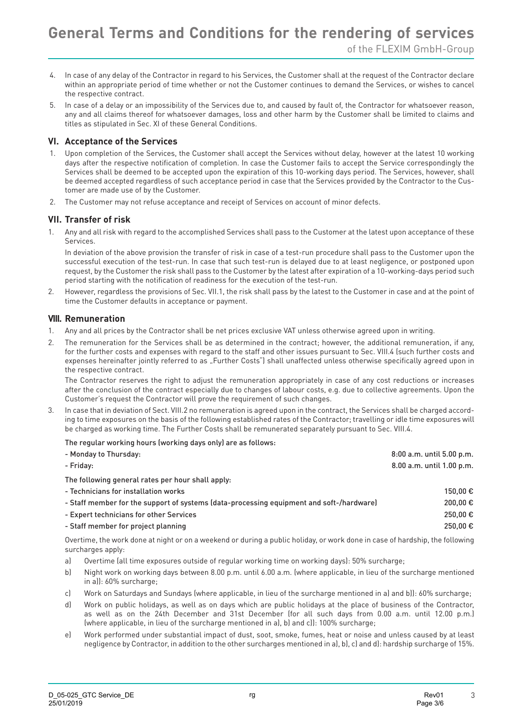- 4. In case of any delay of the Contractor in regard to his Services, the Customer shall at the request of the Contractor declare within an appropriate period of time whether or not the Customer continues to demand the Services, or wishes to cancel the respective contract.
- 5. In case of a delay or an impossibility of the Services due to, and caused by fault of, the Contractor for whatsoever reason, any and all claims thereof for whatsoever damages, loss and other harm by the Customer shall be limited to claims and titles as stipulated in Sec. XI of these General Conditions.

### **VI. Acceptance of the Services**

- 1. Upon completion of the Services, the Customer shall accept the Services without delay, however at the latest 10 working days after the respective notification of completion. In case the Customer fails to accept the Service correspondingly the Services shall be deemed to be accepted upon the expiration of this 10-working days period. The Services, however, shall be deemed accepted regardless of such acceptance period in case that the Services provided by the Contractor to the Customer are made use of by the Customer.
- 2. The Customer may not refuse acceptance and receipt of Services on account of minor defects.

### **VII. Transfer of risk**

1. Any and all risk with regard to the accomplished Services shall pass to the Customer at the latest upon acceptance of these Services.

In deviation of the above provision the transfer of risk in case of a test-run procedure shall pass to the Customer upon the successful execution of the test-run. In case that such test-run is delayed due to at least negligence, or postponed upon request, by the Customer the risk shall pass to the Customer by the latest after expiration of a 10-working-days period such period starting with the notification of readiness for the execution of the test-run.

2. However, regardless the provisions of Sec. VII.1, the risk shall pass by the latest to the Customer in case and at the point of time the Customer defaults in acceptance or payment.

### **VIII. Remuneration**

- 1. Any and all prices by the Contractor shall be net prices exclusive VAT unless otherwise agreed upon in writing.
- 2. The remuneration for the Services shall be as determined in the contract; however, the additional remuneration, if any, for the further costs and expenses with regard to the staff and other issues pursuant to Sec. VIII.4 (such further costs and expenses hereinafter jointly referred to as "Further Costs") shall unaffected unless otherwise specifically agreed upon in the respective contract.

The Contractor reserves the right to adjust the remuneration appropriately in case of any cost reductions or increases after the conclusion of the contract especially due to changes of labour costs, e.g. due to collective agreements. Upon the Customer's request the Contractor will prove the requirement of such changes.

3. In case that in deviation of Sect. VIII.2 no remuneration is agreed upon in the contract, the Services shall be charged according to time exposures on the basis of the following established rates of the Contractor; travelling or idle time exposures will be charged as working time. The Further Costs shall be remunerated separately pursuant to Sec. VIII.4.

#### The regular working hours (working days only) are as follows:

| - Monday to Thursday:                                                                    | 8:00 a.m. until 5.00 p.m. |
|------------------------------------------------------------------------------------------|---------------------------|
| - Friday:                                                                                | 8.00 a.m. until 1.00 p.m. |
| The following general rates per hour shall apply:                                        |                           |
| - Technicians for installation works                                                     | 150.00€                   |
| - Staff member for the support of systems (data-processing equipment and soft-/hardware) | 200.00€                   |
| - Expert technicians for other Services                                                  | 250,00€                   |
| - Staff member for project planning                                                      | 250,00€                   |
|                                                                                          |                           |

Overtime, the work done at night or on a weekend or during a public holiday, or work done in case of hardship, the following surcharges apply:

- a) Overtime (all time exposures outside of regular working time on working days): 50% surcharge;
- b) Night work on working days between 8.00 p.m. until 6.00 a.m. (where applicable, in lieu of the surcharge mentioned in a)): 60% surcharge;
- c) Work on Saturdays and Sundays (where applicable, in lieu of the surcharge mentioned in a) and b)): 60% surcharge;
- d) Work on public holidays, as well as on days which are public holidays at the place of business of the Contractor, as well as on the 24th December and 31st December (for all such days from 0.00 a.m. until 12.00 p.m.) (where applicable, in lieu of the surcharge mentioned in a), b) and c)): 100% surcharge;
- e) Work performed under substantial impact of dust, soot, smoke, fumes, heat or noise and unless caused by at least negligence by Contractor, in addition to the other surcharges mentioned in a), b), c) and d): hardship surcharge of 15%.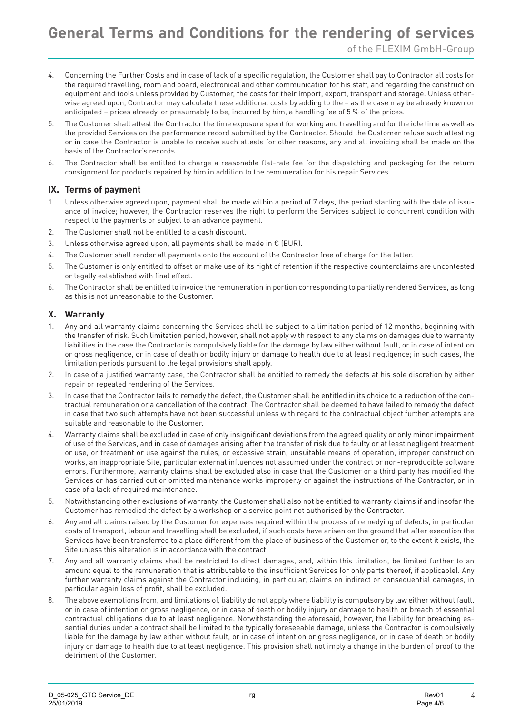- 4. Concerning the Further Costs and in case of lack of a specific regulation, the Customer shall pay to Contractor all costs for the required travelling, room and board, electronical and other communication for his staff, and regarding the construction equipment and tools unless provided by Customer, the costs for their import, export, transport and storage. Unless otherwise agreed upon, Contractor may calculate these additional costs by adding to the – as the case may be already known or anticipated – prices already, or presumably to be, incurred by him, a handling fee of 5 % of the prices.
- 5. The Customer shall attest the Contractor the time exposure spent for working and travelling and for the idle time as well as the provided Services on the performance record submitted by the Contractor. Should the Customer refuse such attesting or in case the Contractor is unable to receive such attests for other reasons, any and all invoicing shall be made on the basis of the Contractor's records.
- 6. The Contractor shall be entitled to charge a reasonable flat-rate fee for the dispatching and packaging for the return consignment for products repaired by him in addition to the remuneration for his repair Services.

### **IX. Terms of payment**

- 1. Unless otherwise agreed upon, payment shall be made within a period of 7 days, the period starting with the date of issuance of invoice; however, the Contractor reserves the right to perform the Services subject to concurrent condition with respect to the payments or subject to an advance payment.
- 2. The Customer shall not be entitled to a cash discount.
- 3. Unless otherwise agreed upon, all payments shall be made in  $\epsilon$  (EUR).
- 4. The Customer shall render all payments onto the account of the Contractor free of charge for the latter.
- 5. The Customer is only entitled to offset or make use of its right of retention if the respective counterclaims are uncontested or legally established with final effect.
- 6. The Contractor shall be entitled to invoice the remuneration in portion corresponding to partially rendered Services, as long as this is not unreasonable to the Customer.

### **X. Warranty**

- 1. Any and all warranty claims concerning the Services shall be subject to a limitation period of 12 months, beginning with the transfer of risk. Such limitation period, however, shall not apply with respect to any claims on damages due to warranty liabilities in the case the Contractor is compulsively liable for the damage by law either without fault, or in case of intention or gross negligence, or in case of death or bodily injury or damage to health due to at least negligence; in such cases, the limitation periods pursuant to the legal provisions shall apply.
- 2. In case of a justified warranty case, the Contractor shall be entitled to remedy the defects at his sole discretion by either repair or repeated rendering of the Services.
- 3. In case that the Contractor fails to remedy the defect, the Customer shall be entitled in its choice to a reduction of the contractual remuneration or a cancellation of the contract. The Contractor shall be deemed to have failed to remedy the defect in case that two such attempts have not been successful unless with regard to the contractual object further attempts are suitable and reasonable to the Customer.
- 4. Warranty claims shall be excluded in case of only insignificant deviations from the agreed quality or only minor impairment of use of the Services, and in case of damages arising after the transfer of risk due to faulty or at least negligent treatment or use, or treatment or use against the rules, or excessive strain, unsuitable means of operation, improper construction works, an inappropriate Site, particular external influences not assumed under the contract or non-reproducible software errors. Furthermore, warranty claims shall be excluded also in case that the Customer or a third party has modified the Services or has carried out or omitted maintenance works improperly or against the instructions of the Contractor, on in case of a lack of required maintenance.
- 5. Notwithstanding other exclusions of warranty, the Customer shall also not be entitled to warranty claims if and insofar the Customer has remedied the defect by a workshop or a service point not authorised by the Contractor.
- 6. Any and all claims raised by the Customer for expenses required within the process of remedying of defects, in particular costs of transport, labour and travelling shall be excluded, if such costs have arisen on the ground that after execution the Services have been transferred to a place different from the place of business of the Customer or, to the extent it exists, the Site unless this alteration is in accordance with the contract.
- 7. Any and all warranty claims shall be restricted to direct damages, and, within this limitation, be limited further to an amount equal to the remuneration that is attributable to the insufficient Services (or only parts thereof, if applicable). Any further warranty claims against the Contractor including, in particular, claims on indirect or consequential damages, in particular again loss of profit, shall be excluded.
- 8. The above exemptions from, and limitations of, liability do not apply where liability is compulsory by law either without fault, or in case of intention or gross negligence, or in case of death or bodily injury or damage to health or breach of essential contractual obligations due to at least negligence. Notwithstanding the aforesaid, however, the liability for breaching essential duties under a contract shall be limited to the typically foreseeable damage, unless the Contractor is compulsively liable for the damage by law either without fault, or in case of intention or gross negligence, or in case of death or bodily injury or damage to health due to at least negligence. This provision shall not imply a change in the burden of proof to the detriment of the Customer.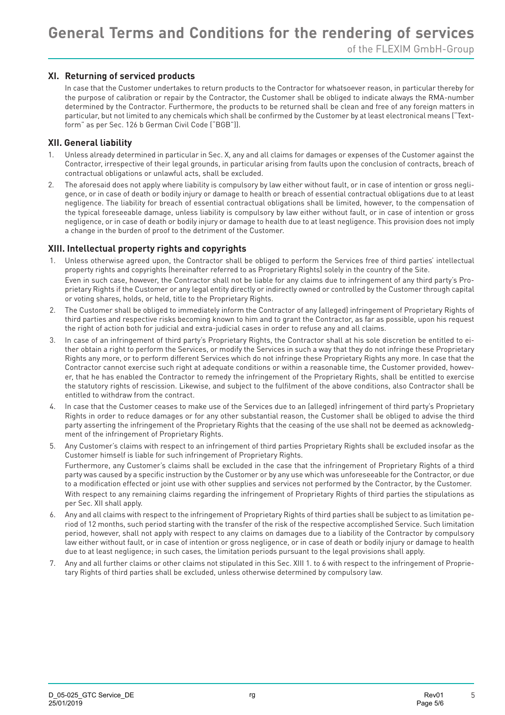# of the FLEXIM GmbH-Group

# **XI. Returning of serviced products**

In case that the Customer undertakes to return products to the Contractor for whatsoever reason, in particular thereby for the purpose of calibration or repair by the Contractor, the Customer shall be obliged to indicate always the RMA-number determined by the Contractor. Furthermore, the products to be returned shall be clean and free of any foreign matters in particular, but not limited to any chemicals which shall be confirmed by the Customer by at least electronical means ("Textform" as per Sec. 126 b German Civil Code ("BGB")).

#### **XII. General liability**

- 1. Unless already determined in particular in Sec. X, any and all claims for damages or expenses of the Customer against the Contractor, irrespective of their legal grounds, in particular arising from faults upon the conclusion of contracts, breach of contractual obligations or unlawful acts, shall be excluded.
- 2. The aforesaid does not apply where liability is compulsory by law either without fault, or in case of intention or gross negligence, or in case of death or bodily injury or damage to health or breach of essential contractual obligations due to at least negligence. The liability for breach of essential contractual obligations shall be limited, however, to the compensation of the typical foreseeable damage, unless liability is compulsory by law either without fault, or in case of intention or gross negligence, or in case of death or bodily injury or damage to health due to at least negligence. This provision does not imply a change in the burden of proof to the detriment of the Customer.

### **XIII. Intellectual property rights and copyrights**

- 1. Unless otherwise agreed upon, the Contractor shall be obliged to perform the Services free of third parties' intellectual property rights and copyrights (hereinafter referred to as Proprietary Rights) solely in the country of the Site. Even in such case, however, the Contractor shall not be liable for any claims due to infringement of any third party's Proprietary Rights if the Customer or any legal entity directly or indirectly owned or controlled by the Customer through capital or voting shares, holds, or held, title to the Proprietary Rights.
- 2. The Customer shall be obliged to immediately inform the Contractor of any (alleged) infringement of Proprietary Rights of third parties and respective risks becoming known to him and to grant the Contractor, as far as possible, upon his request the right of action both for judicial and extra-judicial cases in order to refuse any and all claims.
- 3. In case of an infringement of third party's Proprietary Rights, the Contractor shall at his sole discretion be entitled to either obtain a right to perform the Services, or modify the Services in such a way that they do not infringe these Proprietary Rights any more, or to perform different Services which do not infringe these Proprietary Rights any more. In case that the Contractor cannot exercise such right at adequate conditions or within a reasonable time, the Customer provided, however, that he has enabled the Contractor to remedy the infringement of the Proprietary Rights, shall be entitled to exercise the statutory rights of rescission. Likewise, and subject to the fulfilment of the above conditions, also Contractor shall be entitled to withdraw from the contract.
- 4. In case that the Customer ceases to make use of the Services due to an (alleged) infringement of third party's Proprietary Rights in order to reduce damages or for any other substantial reason, the Customer shall be obliged to advise the third party asserting the infringement of the Proprietary Rights that the ceasing of the use shall not be deemed as acknowledgment of the infringement of Proprietary Rights.
- 5. Any Customer's claims with respect to an infringement of third parties Proprietary Rights shall be excluded insofar as the Customer himself is liable for such infringement of Proprietary Rights. Furthermore, any Customer's claims shall be excluded in the case that the infringement of Proprietary Rights of a third party was caused by a specific instruction by the Customer or by any use which was unforeseeable for the Contractor, or due to a modification effected or joint use with other supplies and services not performed by the Contractor, by the Customer. With respect to any remaining claims regarding the infringement of Proprietary Rights of third parties the stipulations as per Sec. XII shall apply.
- 6. Any and all claims with respect to the infringement of Proprietary Rights of third parties shall be subject to as limitation period of 12 months, such period starting with the transfer of the risk of the respective accomplished Service. Such limitation period, however, shall not apply with respect to any claims on damages due to a liability of the Contractor by compulsory law either without fault, or in case of intention or gross negligence, or in case of death or bodily injury or damage to health due to at least negligence; in such cases, the limitation periods pursuant to the legal provisions shall apply.
- 7. Any and all further claims or other claims not stipulated in this Sec. XIII 1. to 6 with respect to the infringement of Proprietary Rights of third parties shall be excluded, unless otherwise determined by compulsory law.